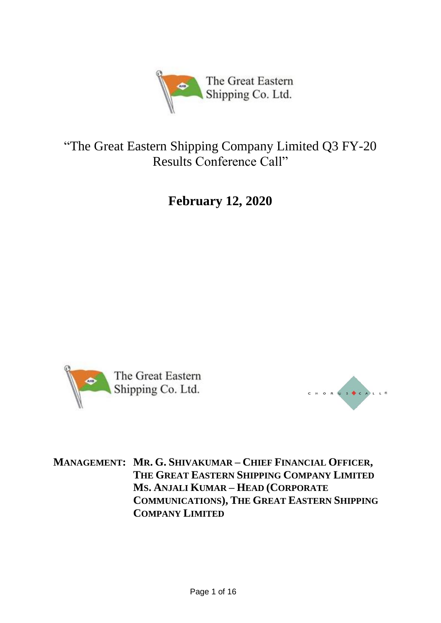

# "The Great Eastern Shipping Company Limited Q3 FY-20 Results Conference Call"

**February 12, 2020**





**MANAGEMENT: MR. G. SHIVAKUMAR – CHIEF FINANCIAL OFFICER, THE GREAT EASTERN SHIPPING COMPANY LIMITED MS. ANJALI KUMAR – HEAD (CORPORATE COMMUNICATIONS), THE GREAT EASTERN SHIPPING COMPANY LIMITED**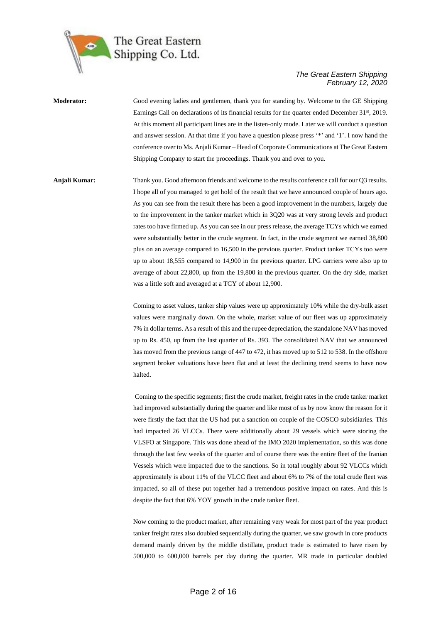

**Moderator:** Good evening ladies and gentlemen, thank you for standing by. Welcome to the GE Shipping Earnings Call on declarations of its financial results for the quarter ended December 31<sup>st</sup>, 2019. At this moment all participant lines are in the listen-only mode. Later we will conduct a question and answer session. At that time if you have a question please press '\*' and '1'. I now hand the conference over to Ms. Anjali Kumar – Head of Corporate Communications at The Great Eastern Shipping Company to start the proceedings. Thank you and over to you.

**Anjali Kumar:** Thank you. Good afternoon friends and welcome to the results conference call for our Q3 results. I hope all of you managed to get hold of the result that we have announced couple of hours ago. As you can see from the result there has been a good improvement in the numbers, largely due to the improvement in the tanker market which in 3Q20 was at very strong levels and product rates too have firmed up. As you can see in our press release, the average TCYs which we earned were substantially better in the crude segment. In fact, in the crude segment we earned 38,800 plus on an average compared to 16,500 in the previous quarter. Product tanker TCYs too were up to about 18,555 compared to 14,900 in the previous quarter. LPG carriers were also up to average of about 22,800, up from the 19,800 in the previous quarter. On the dry side, market was a little soft and averaged at a TCY of about 12,900.

> Coming to asset values, tanker ship values were up approximately 10% while the dry-bulk asset values were marginally down. On the whole, market value of our fleet was up approximately 7% in dollar terms. As a result of this and the rupee depreciation, the standalone NAV has moved up to Rs. 450, up from the last quarter of Rs. 393. The consolidated NAV that we announced has moved from the previous range of 447 to 472, it has moved up to 512 to 538. In the offshore segment broker valuations have been flat and at least the declining trend seems to have now halted.

> Coming to the specific segments; first the crude market, freight rates in the crude tanker market had improved substantially during the quarter and like most of us by now know the reason for it were firstly the fact that the US had put a sanction on couple of the COSCO subsidiaries. This had impacted 26 VLCCs. There were additionally about 29 vessels which were storing the VLSFO at Singapore. This was done ahead of the IMO 2020 implementation, so this was done through the last few weeks of the quarter and of course there was the entire fleet of the Iranian Vessels which were impacted due to the sanctions. So in total roughly about 92 VLCCs which approximately is about 11% of the VLCC fleet and about 6% to 7% of the total crude fleet was impacted, so all of these put together had a tremendous positive impact on rates. And this is despite the fact that 6% YOY growth in the crude tanker fleet.

> Now coming to the product market, after remaining very weak for most part of the year product tanker freight rates also doubled sequentially during the quarter, we saw growth in core products demand mainly driven by the middle distillate, product trade is estimated to have risen by 500,000 to 600,000 barrels per day during the quarter. MR trade in particular doubled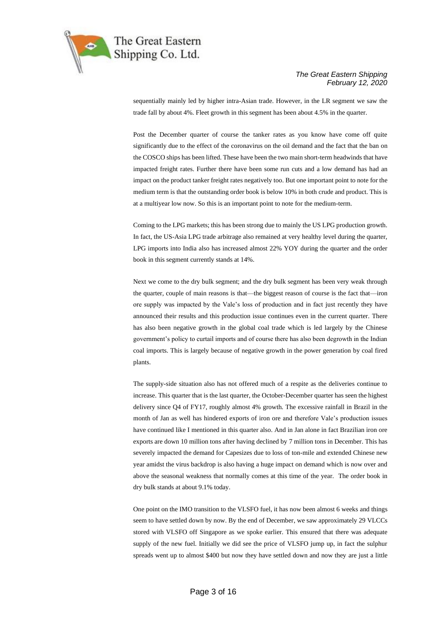

sequentially mainly led by higher intra-Asian trade. However, in the LR segment we saw the trade fall by about 4%. Fleet growth in this segment has been about 4.5% in the quarter.

Post the December quarter of course the tanker rates as you know have come off quite significantly due to the effect of the coronavirus on the oil demand and the fact that the ban on the COSCO ships has been lifted. These have been the two main short-term headwinds that have impacted freight rates. Further there have been some run cuts and a low demand has had an impact on the product tanker freight rates negatively too. But one important point to note for the medium term is that the outstanding order book is below 10% in both crude and product. This is at a multiyear low now. So this is an important point to note for the medium-term.

Coming to the LPG markets; this has been strong due to mainly the US LPG production growth. In fact, the US-Asia LPG trade arbitrage also remained at very healthy level during the quarter, LPG imports into India also has increased almost 22% YOY during the quarter and the order book in this segment currently stands at 14%.

Next we come to the dry bulk segment; and the dry bulk segment has been very weak through the quarter, couple of main reasons is that—the biggest reason of course is the fact that—iron ore supply was impacted by the Vale's loss of production and in fact just recently they have announced their results and this production issue continues even in the current quarter. There has also been negative growth in the global coal trade which is led largely by the Chinese government's policy to curtail imports and of course there has also been degrowth in the Indian coal imports. This is largely because of negative growth in the power generation by coal fired plants.

The supply-side situation also has not offered much of a respite as the deliveries continue to increase. This quarter that is the last quarter, the October-December quarter has seen the highest delivery since Q4 of FY17, roughly almost 4% growth. The excessive rainfall in Brazil in the month of Jan as well has hindered exports of iron ore and therefore Vale's production issues have continued like I mentioned in this quarter also. And in Jan alone in fact Brazilian iron ore exports are down 10 million tons after having declined by 7 million tons in December. This has severely impacted the demand for Capesizes due to loss of ton-mile and extended Chinese new year amidst the virus backdrop is also having a huge impact on demand which is now over and above the seasonal weakness that normally comes at this time of the year. The order book in dry bulk stands at about 9.1% today.

One point on the IMO transition to the VLSFO fuel, it has now been almost 6 weeks and things seem to have settled down by now. By the end of December, we saw approximately 29 VLCCs stored with VLSFO off Singapore as we spoke earlier. This ensured that there was adequate supply of the new fuel. Initially we did see the price of VLSFO jump up, in fact the sulphur spreads went up to almost \$400 but now they have settled down and now they are just a little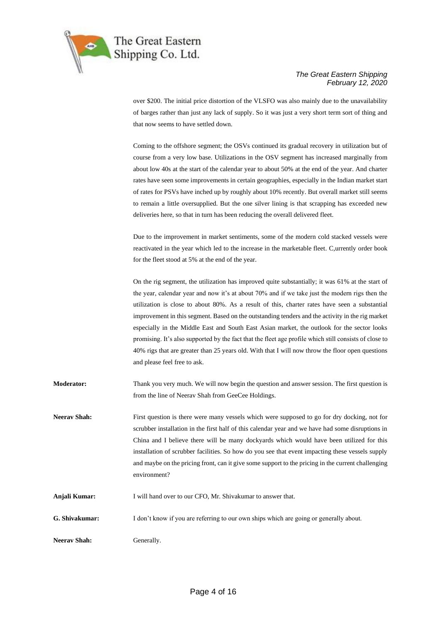

over \$200. The initial price distortion of the VLSFO was also mainly due to the unavailability of barges rather than just any lack of supply. So it was just a very short term sort of thing and that now seems to have settled down.

Coming to the offshore segment; the OSVs continued its gradual recovery in utilization but of course from a very low base. Utilizations in the OSV segment has increased marginally from about low 40s at the start of the calendar year to about 50% at the end of the year. And charter rates have seen some improvements in certain geographies, especially in the Indian market start of rates for PSVs have inched up by roughly about 10% recently. But overall market still seems to remain a little oversupplied. But the one silver lining is that scrapping has exceeded new deliveries here, so that in turn has been reducing the overall delivered fleet.

Due to the improvement in market sentiments, some of the modern cold stacked vessels were reactivated in the year which led to the increase in the marketable fleet. C,urrently order book for the fleet stood at 5% at the end of the year.

On the rig segment, the utilization has improved quite substantially; it was 61% at the start of the year, calendar year and now it's at about 70% and if we take just the modern rigs then the utilization is close to about 80%. As a result of this, charter rates have seen a substantial improvement in this segment. Based on the outstanding tenders and the activity in the rig market especially in the Middle East and South East Asian market, the outlook for the sector looks promising. It's also supported by the fact that the fleet age profile which still consists of close to 40% rigs that are greater than 25 years old. With that I will now throw the floor open questions and please feel free to ask.

- **Moderator:** Thank you very much. We will now begin the question and answer session. The first question is from the line of Neerav Shah from GeeCee Holdings.
- **Neerav Shah:** First question is there were many vessels which were supposed to go for dry docking, not for scrubber installation in the first half of this calendar year and we have had some disruptions in China and I believe there will be many dockyards which would have been utilized for this installation of scrubber facilities. So how do you see that event impacting these vessels supply and maybe on the pricing front, can it give some support to the pricing in the current challenging environment?
- **Anjali Kumar:** I will hand over to our CFO, Mr. Shivakumar to answer that.
- **G. Shivakumar:** I don't know if you are referring to our own ships which are going or generally about.
- **Neerav Shah:** Generally.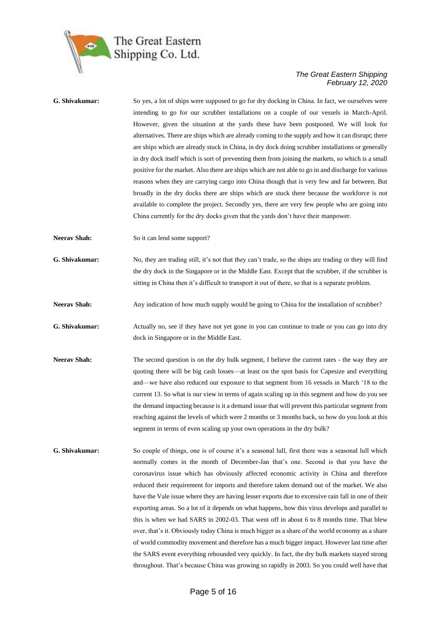

| G. Shivakumar:      | So yes, a lot of ships were supposed to go for dry docking in China. In fact, we ourselves were<br>intending to go for our scrubber installations on a couple of our vessels in March-April.<br>However, given the situation at the yards these have been postponed. We will look for<br>alternatives. There are ships which are already coming to the supply and how it can disrupt; there<br>are ships which are already stuck in China, in dry dock doing scrubber installations or generally<br>in dry dock itself which is sort of preventing them from joining the markets, so which is a small<br>positive for the market. Also there are ships which are not able to go in and discharge for various<br>reasons when they are carrying cargo into China though that is very few and far between. But<br>broadly in the dry docks there are ships which are stuck there because the workforce is not<br>available to complete the project. Secondly yes, there are very few people who are going into<br>China currently for the dry docks given that the yards don't have their manpower. |
|---------------------|---------------------------------------------------------------------------------------------------------------------------------------------------------------------------------------------------------------------------------------------------------------------------------------------------------------------------------------------------------------------------------------------------------------------------------------------------------------------------------------------------------------------------------------------------------------------------------------------------------------------------------------------------------------------------------------------------------------------------------------------------------------------------------------------------------------------------------------------------------------------------------------------------------------------------------------------------------------------------------------------------------------------------------------------------------------------------------------------------|
| <b>Neerav Shah:</b> | So it can lend some support?                                                                                                                                                                                                                                                                                                                                                                                                                                                                                                                                                                                                                                                                                                                                                                                                                                                                                                                                                                                                                                                                      |
| G. Shivakumar:      | No, they are trading still, it's not that they can't trade, so the ships are trading or they will find<br>the dry dock in the Singapore or in the Middle East. Except that the scrubber, if the scrubber is<br>sitting in China then it's difficult to transport it out of there, so that is a separate problem.                                                                                                                                                                                                                                                                                                                                                                                                                                                                                                                                                                                                                                                                                                                                                                                  |
| <b>Neerav Shah:</b> | Any indication of how much supply would be going to China for the installation of scrubber?                                                                                                                                                                                                                                                                                                                                                                                                                                                                                                                                                                                                                                                                                                                                                                                                                                                                                                                                                                                                       |
| G. Shivakumar:      | Actually no, see if they have not yet gone in you can continue to trade or you can go into dry<br>dock in Singapore or in the Middle East.                                                                                                                                                                                                                                                                                                                                                                                                                                                                                                                                                                                                                                                                                                                                                                                                                                                                                                                                                        |
| <b>Neerav Shah:</b> | The second question is on the dry bulk segment, I believe the current rates - the way they are<br>quoting there will be big cash losses—at least on the spot basis for Capesize and everything<br>and—we have also reduced our exposure to that segment from 16 vessels in March '18 to the<br>current 13. So what is our view in terms of again scaling up in this segment and how do you see<br>the demand impacting because is it a demand issue that will prevent this particular segment from<br>reaching against the levels of which were 2 months or 3 months back, so how do you look at this<br>segment in terms of even scaling up your own operations in the dry bulk?                                                                                                                                                                                                                                                                                                                                                                                                                 |
| G. Shivakumar:      | So couple of things, one is of course it's a seasonal lull, first there was a seasonal lull which<br>normally comes in the month of December-Jan that's one. Second is that you have the<br>coronavirus issue which has obviously affected economic activity in China and therefore<br>reduced their requirement for imports and therefore taken demand out of the market. We also<br>have the Vale issue where they are having lesser exports due to excessive rain fall in one of their<br>exporting areas. So a lot of it depends on what happens, how this virus develops and parallel to<br>this is when we had SARS in 2002-03. That went off in about 6 to 8 months time. That blew<br>over, that's it. Obviously today China is much bigger as a share of the world economy as a share<br>of world commodity movement and therefore has a much bigger impact. However last time after<br>the SARS event everything rebounded very quickly. In fact, the dry bulk markets stayed strong<br>throughout. That's because China was growing so rapidly in 2003. So you could well have that    |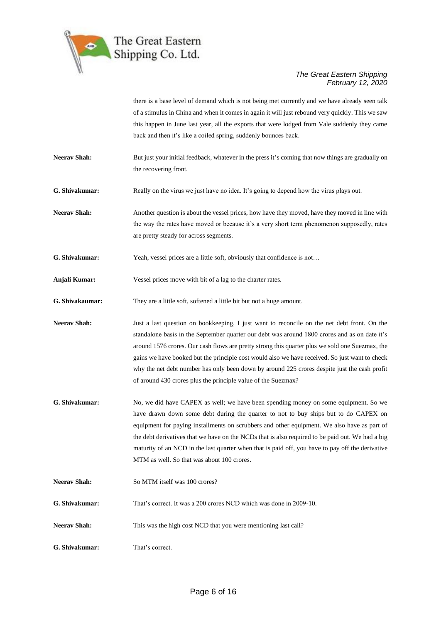

there is a base level of demand which is not being met currently and we have already seen talk of a stimulus in China and when it comes in again it will just rebound very quickly. This we saw this happen in June last year, all the exports that were lodged from Vale suddenly they came back and then it's like a coiled spring, suddenly bounces back.

**Neerav Shah:** But just your initial feedback, whatever in the press it's coming that now things are gradually on the recovering front.

**G. Shivakumar:** Really on the virus we just have no idea. It's going to depend how the virus plays out.

**Neerav Shah:** Another question is about the vessel prices, how have they moved, have they moved in line with the way the rates have moved or because it's a very short term phenomenon supposedly, rates are pretty steady for across segments.

**G. Shivakumar:** Yeah, vessel prices are a little soft, obviously that confidence is not…

**Anjali Kumar:** Vessel prices move with bit of a lag to the charter rates.

**G. Shivakaumar:** They are a little soft, softened a little bit but not a huge amount.

**Neerav Shah:** Just a last question on bookkeeping, I just want to reconcile on the net debt front. On the standalone basis in the September quarter our debt was around 1800 crores and as on date it's around 1576 crores. Our cash flows are pretty strong this quarter plus we sold one Suezmax, the gains we have booked but the principle cost would also we have received. So just want to check why the net debt number has only been down by around 225 crores despite just the cash profit of around 430 crores plus the principle value of the Suezmax?

- **G. Shivakumar:** No, we did have CAPEX as well; we have been spending money on some equipment. So we have drawn down some debt during the quarter to not to buy ships but to do CAPEX on equipment for paying installments on scrubbers and other equipment. We also have as part of the debt derivatives that we have on the NCDs that is also required to be paid out. We had a big maturity of an NCD in the last quarter when that is paid off, you have to pay off the derivative MTM as well. So that was about 100 crores.
- Neerav Shah: So MTM itself was 100 crores?
- **G. Shivakumar:** That's correct. It was a 200 crores NCD which was done in 2009-10.
- **Neeray Shah:** This was the high cost NCD that you were mentioning last call?
- **G. Shivakumar:** That's correct.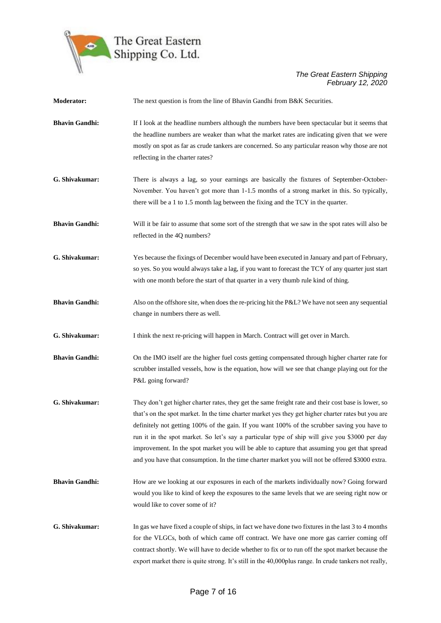

| Moderator:            | The next question is from the line of Bhavin Gandhi from B&K Securities.                                                                                                                                                                                                                                                                                                                                                                                                                                                                                                                                          |
|-----------------------|-------------------------------------------------------------------------------------------------------------------------------------------------------------------------------------------------------------------------------------------------------------------------------------------------------------------------------------------------------------------------------------------------------------------------------------------------------------------------------------------------------------------------------------------------------------------------------------------------------------------|
| <b>Bhavin Gandhi:</b> | If I look at the headline numbers although the numbers have been spectacular but it seems that<br>the headline numbers are weaker than what the market rates are indicating given that we were<br>mostly on spot as far as crude tankers are concerned. So any particular reason why those are not<br>reflecting in the charter rates?                                                                                                                                                                                                                                                                            |
| G. Shivakumar:        | There is always a lag, so your earnings are basically the fixtures of September-October-<br>November. You haven't got more than 1-1.5 months of a strong market in this. So typically,<br>there will be a 1 to 1.5 month lag between the fixing and the TCY in the quarter.                                                                                                                                                                                                                                                                                                                                       |
| <b>Bhavin Gandhi:</b> | Will it be fair to assume that some sort of the strength that we saw in the spot rates will also be<br>reflected in the 4Q numbers?                                                                                                                                                                                                                                                                                                                                                                                                                                                                               |
| G. Shivakumar:        | Yes because the fixings of December would have been executed in January and part of February,<br>so yes. So you would always take a lag, if you want to forecast the TCY of any quarter just start<br>with one month before the start of that quarter in a very thumb rule kind of thing.                                                                                                                                                                                                                                                                                                                         |
| <b>Bhavin Gandhi:</b> | Also on the offshore site, when does the re-pricing hit the P&L? We have not seen any sequential<br>change in numbers there as well.                                                                                                                                                                                                                                                                                                                                                                                                                                                                              |
| G. Shivakumar:        | I think the next re-pricing will happen in March. Contract will get over in March.                                                                                                                                                                                                                                                                                                                                                                                                                                                                                                                                |
| <b>Bhavin Gandhi:</b> | On the IMO itself are the higher fuel costs getting compensated through higher charter rate for<br>scrubber installed vessels, how is the equation, how will we see that change playing out for the<br>P&L going forward?                                                                                                                                                                                                                                                                                                                                                                                         |
| G. Shivakumar:        | They don't get higher charter rates, they get the same freight rate and their cost base is lower, so<br>that's on the spot market. In the time charter market yes they get higher charter rates but you are<br>definitely not getting 100% of the gain. If you want 100% of the scrubber saving you have to<br>run it in the spot market. So let's say a particular type of ship will give you \$3000 per day<br>improvement. In the spot market you will be able to capture that assuming you get that spread<br>and you have that consumption. In the time charter market you will not be offered \$3000 extra. |
| <b>Bhavin Gandhi:</b> | How are we looking at our exposures in each of the markets individually now? Going forward<br>would you like to kind of keep the exposures to the same levels that we are seeing right now or<br>would like to cover some of it?                                                                                                                                                                                                                                                                                                                                                                                  |
| G. Shivakumar:        | In gas we have fixed a couple of ships, in fact we have done two fixtures in the last 3 to 4 months<br>for the VLGCs, both of which came off contract. We have one more gas carrier coming off<br>contract shortly. We will have to decide whether to fix or to run off the spot market because the<br>export market there is quite strong. It's still in the 40,000plus range. In crude tankers not really,                                                                                                                                                                                                      |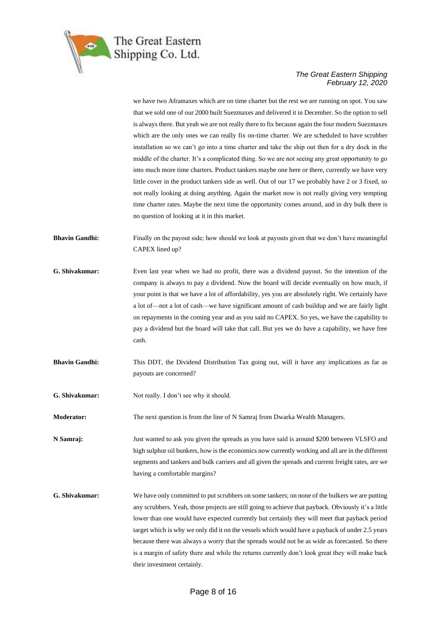

we have two Aframaxes which are on time charter but the rest we are running on spot. You saw that we sold one of our 2000 built Suezmaxes and delivered it in December. So the option to sell is always there. But yeah we are not really there to fix because again the four modern Suezmaxes which are the only ones we can really fix on-time charter. We are scheduled to have scrubber installation so we can't go into a time charter and take the ship out then for a dry dock in the middle of the charter. It's a complicated thing. So we are not seeing any great opportunity to go into much more time charters. Product tankers maybe one here or there, currently we have very little cover in the product tankers side as well. Out of our 17 we probably have 2 or 3 fixed, so not really looking at doing anything. Again the market now is not really giving very tempting time charter rates. Maybe the next time the opportunity comes around, and in dry bulk there is no question of looking at it in this market.

- **Bhavin Gandhi:** Finally on the payout side; how should we look at payouts given that we don't have meaningful CAPEX lined up?
- **G. Shivakumar:** Even last year when we had no profit, there was a dividend payout. So the intention of the company is always to pay a dividend. Now the board will decide eventually on how much, if your point is that we have a lot of affordability, yes you are absolutely right. We certainly have a lot of—not a lot of cash—we have significant amount of cash buildup and we are fairly light on repayments in the coming year and as you said no CAPEX. So yes, we have the capability to pay a dividend but the board will take that call. But yes we do have a capability, we have free cash.
- **Bhavin Gandhi:** This DDT, the Dividend Distribution Tax going out, will it have any implications as far as payouts are concerned?
- **G. Shivakumar:** Not really. I don't see why it should.

**Moderator:** The next question is from the line of N Samraj from Dwarka Wealth Managers.

**N Samraj:** Just wanted to ask you given the spreads as you have said is around \$200 between VLSFO and high sulphur oil bunkers, how is the economics now currently working and all are in the different segments and tankers and bulk carriers and all given the spreads and current freight rates, are we having a comfortable margins?

**G. Shivakumar:** We have only committed to put scrubbers on some tankers; on none of the bulkers we are putting any scrubbers. Yeah, those projects are still going to achieve that payback. Obviously it's a little lower than one would have expected currently but certainly they will meet that payback period target which is why we only did it on the vessels which would have a payback of under 2.5 years because there was always a worry that the spreads would not be as wide as forecasted. So there is a margin of safety there and while the returns currently don't look great they will make back their investment certainly.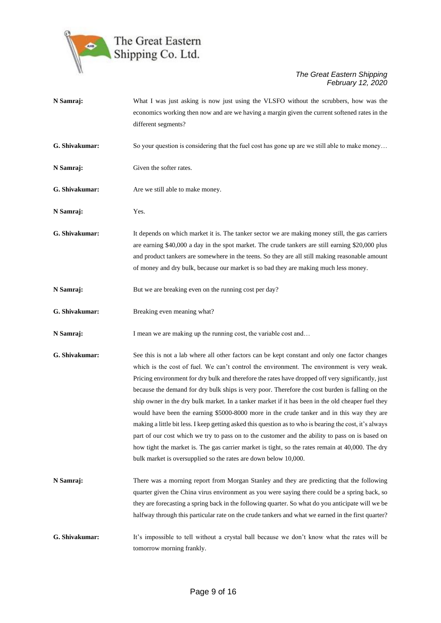

| N Samraj:      | What I was just asking is now just using the VLSFO without the scrubbers, how was the<br>economics working then now and are we having a margin given the current softened rates in the<br>different segments?                                                                                                                                                                                                                                                                                                                                                                                                                                                                                                                                                                                                                                                                                                                                                                                |
|----------------|----------------------------------------------------------------------------------------------------------------------------------------------------------------------------------------------------------------------------------------------------------------------------------------------------------------------------------------------------------------------------------------------------------------------------------------------------------------------------------------------------------------------------------------------------------------------------------------------------------------------------------------------------------------------------------------------------------------------------------------------------------------------------------------------------------------------------------------------------------------------------------------------------------------------------------------------------------------------------------------------|
| G. Shivakumar: | So your question is considering that the fuel cost has gone up are we still able to make money                                                                                                                                                                                                                                                                                                                                                                                                                                                                                                                                                                                                                                                                                                                                                                                                                                                                                               |
| N Samraj:      | Given the softer rates.                                                                                                                                                                                                                                                                                                                                                                                                                                                                                                                                                                                                                                                                                                                                                                                                                                                                                                                                                                      |
| G. Shivakumar: | Are we still able to make money.                                                                                                                                                                                                                                                                                                                                                                                                                                                                                                                                                                                                                                                                                                                                                                                                                                                                                                                                                             |
| N Samraj:      | Yes.                                                                                                                                                                                                                                                                                                                                                                                                                                                                                                                                                                                                                                                                                                                                                                                                                                                                                                                                                                                         |
| G. Shivakumar: | It depends on which market it is. The tanker sector we are making money still, the gas carriers<br>are earning \$40,000 a day in the spot market. The crude tankers are still earning \$20,000 plus<br>and product tankers are somewhere in the teens. So they are all still making reasonable amount<br>of money and dry bulk, because our market is so bad they are making much less money.                                                                                                                                                                                                                                                                                                                                                                                                                                                                                                                                                                                                |
| N Samraj:      | But we are breaking even on the running cost per day?                                                                                                                                                                                                                                                                                                                                                                                                                                                                                                                                                                                                                                                                                                                                                                                                                                                                                                                                        |
| G. Shivakumar: | Breaking even meaning what?                                                                                                                                                                                                                                                                                                                                                                                                                                                                                                                                                                                                                                                                                                                                                                                                                                                                                                                                                                  |
| N Samraj:      | I mean we are making up the running cost, the variable cost and                                                                                                                                                                                                                                                                                                                                                                                                                                                                                                                                                                                                                                                                                                                                                                                                                                                                                                                              |
| G. Shivakumar: | See this is not a lab where all other factors can be kept constant and only one factor changes<br>which is the cost of fuel. We can't control the environment. The environment is very weak.<br>Pricing environment for dry bulk and therefore the rates have dropped off very significantly, just<br>because the demand for dry bulk ships is very poor. Therefore the cost burden is falling on the<br>ship owner in the dry bulk market. In a tanker market if it has been in the old cheaper fuel they<br>would have been the earning \$5000-8000 more in the crude tanker and in this way they are<br>making a little bit less. I keep getting asked this question as to who is bearing the cost, it's always<br>part of our cost which we try to pass on to the customer and the ability to pass on is based on<br>how tight the market is. The gas carrier market is tight, so the rates remain at 40,000. The dry<br>bulk market is oversupplied so the rates are down below 10,000. |
| N Samraj:      | There was a morning report from Morgan Stanley and they are predicting that the following<br>quarter given the China virus environment as you were saying there could be a spring back, so<br>they are forecasting a spring back in the following quarter. So what do you anticipate will we be<br>halfway through this particular rate on the crude tankers and what we earned in the first quarter?                                                                                                                                                                                                                                                                                                                                                                                                                                                                                                                                                                                        |
| G. Shivakumar: | It's impossible to tell without a crystal ball because we don't know what the rates will be<br>tomorrow morning frankly.                                                                                                                                                                                                                                                                                                                                                                                                                                                                                                                                                                                                                                                                                                                                                                                                                                                                     |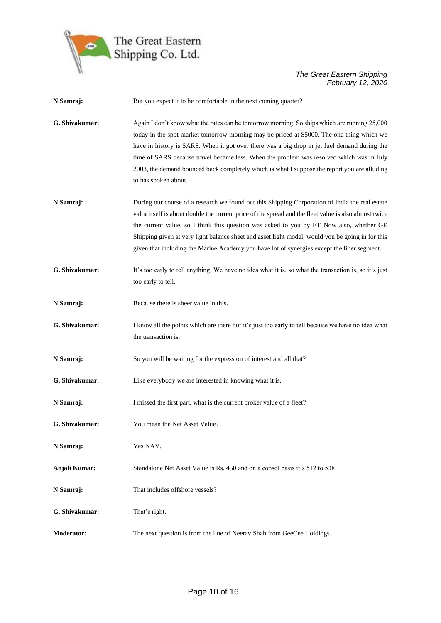

| N Samraj:         | But you expect it to be comfortable in the next coming quarter?                                                                                                                                                                                                                                                                                                                                                                                                                                               |
|-------------------|---------------------------------------------------------------------------------------------------------------------------------------------------------------------------------------------------------------------------------------------------------------------------------------------------------------------------------------------------------------------------------------------------------------------------------------------------------------------------------------------------------------|
| G. Shivakumar:    | Again I don't know what the rates can be tomorrow morning. So ships which are running 25,000<br>today in the spot market tomorrow morning may be priced at \$5000. The one thing which we<br>have in history is SARS. When it got over there was a big drop in jet fuel demand during the<br>time of SARS because travel became less. When the problem was resolved which was in July<br>2003, the demand bounced back completely which is what I suppose the report you are alluding<br>to has spoken about. |
| N Samraj:         | During our course of a research we found out this Shipping Corporation of India the real estate<br>value itself is about double the current price of the spread and the fleet value is also almost twice<br>the current value, so I think this question was asked to you by ET Now also, whether GE<br>Shipping given at very light balance sheet and asset light model, would you be going in for this<br>given that including the Marine Academy you have lot of synergies except the liner segment.        |
| G. Shivakumar:    | It's too early to tell anything. We have no idea what it is, so what the transaction is, so it's just<br>too early to tell.                                                                                                                                                                                                                                                                                                                                                                                   |
| N Samraj:         | Because there is sheer value in this.                                                                                                                                                                                                                                                                                                                                                                                                                                                                         |
| G. Shivakumar:    | I know all the points which are there but it's just too early to tell because we have no idea what<br>the transaction is.                                                                                                                                                                                                                                                                                                                                                                                     |
| N Samraj:         | So you will be waiting for the expression of interest and all that?                                                                                                                                                                                                                                                                                                                                                                                                                                           |
| G. Shivakumar:    | Like everybody we are interested in knowing what it is.                                                                                                                                                                                                                                                                                                                                                                                                                                                       |
| N Samraj:         | I missed the first part, what is the current broker value of a fleet?                                                                                                                                                                                                                                                                                                                                                                                                                                         |
| G. Shivakumar:    | You mean the Net Asset Value?                                                                                                                                                                                                                                                                                                                                                                                                                                                                                 |
| N Samraj:         | Yes NAV.                                                                                                                                                                                                                                                                                                                                                                                                                                                                                                      |
| Anjali Kumar:     | Standalone Net Asset Value is Rs. 450 and on a consol basis it's 512 to 538.                                                                                                                                                                                                                                                                                                                                                                                                                                  |
| N Samraj:         | That includes offshore vessels?                                                                                                                                                                                                                                                                                                                                                                                                                                                                               |
| G. Shivakumar:    | That's right.                                                                                                                                                                                                                                                                                                                                                                                                                                                                                                 |
| <b>Moderator:</b> | The next question is from the line of Neerav Shah from GeeCee Holdings.                                                                                                                                                                                                                                                                                                                                                                                                                                       |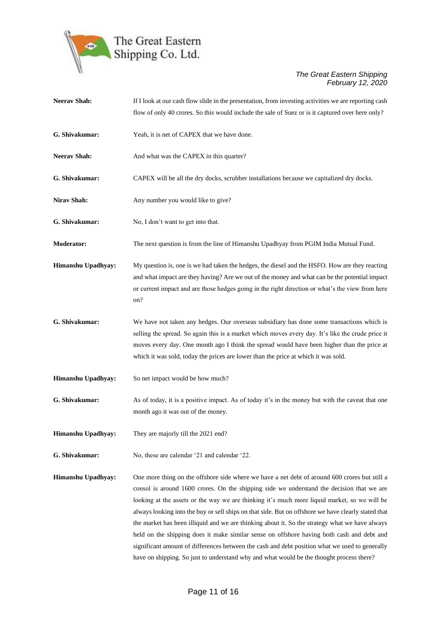

| <b>Neerav Shah:</b> | If I look at our cash flow slide in the presentation, from investing activities we are reporting cash<br>flow of only 40 crores. So this would include the sale of Suez or is it captured over here only?                                                                                                                                                                                                                                                                                                                                                                                                                                                                                                                                                                                      |
|---------------------|------------------------------------------------------------------------------------------------------------------------------------------------------------------------------------------------------------------------------------------------------------------------------------------------------------------------------------------------------------------------------------------------------------------------------------------------------------------------------------------------------------------------------------------------------------------------------------------------------------------------------------------------------------------------------------------------------------------------------------------------------------------------------------------------|
| G. Shivakumar:      | Yeah, it is net of CAPEX that we have done.                                                                                                                                                                                                                                                                                                                                                                                                                                                                                                                                                                                                                                                                                                                                                    |
| <b>Neerav Shah:</b> | And what was the CAPEX in this quarter?                                                                                                                                                                                                                                                                                                                                                                                                                                                                                                                                                                                                                                                                                                                                                        |
| G. Shivakumar:      | CAPEX will be all the dry docks, scrubber installations because we capitalized dry docks.                                                                                                                                                                                                                                                                                                                                                                                                                                                                                                                                                                                                                                                                                                      |
| Nirav Shah:         | Any number you would like to give?                                                                                                                                                                                                                                                                                                                                                                                                                                                                                                                                                                                                                                                                                                                                                             |
| G. Shivakumar:      | No, I don't want to get into that.                                                                                                                                                                                                                                                                                                                                                                                                                                                                                                                                                                                                                                                                                                                                                             |
| <b>Moderator:</b>   | The next question is from the line of Himanshu Upadhyay from PGIM India Mutual Fund.                                                                                                                                                                                                                                                                                                                                                                                                                                                                                                                                                                                                                                                                                                           |
| Himanshu Upadhyay:  | My question is, one is we had taken the hedges, the diesel and the HSFO. How are they reacting<br>and what impact are they having? Are we out of the money and what can be the potential impact<br>or current impact and are those hedges going in the right direction or what's the view from here<br>on?                                                                                                                                                                                                                                                                                                                                                                                                                                                                                     |
| G. Shivakumar:      | We have not taken any hedges. Our overseas subsidiary has done some transactions which is<br>selling the spread. So again this is a market which moves every day. It's like the crude price it<br>moves every day. One month ago I think the spread would have been higher than the price at<br>which it was sold, today the prices are lower than the price at which it was sold.                                                                                                                                                                                                                                                                                                                                                                                                             |
| Himanshu Upadhyay:  | So net impact would be how much?                                                                                                                                                                                                                                                                                                                                                                                                                                                                                                                                                                                                                                                                                                                                                               |
| G. Shivakumar:      | As of today, it is a positive impact. As of today it's in the money but with the caveat that one<br>month ago it was out of the money.                                                                                                                                                                                                                                                                                                                                                                                                                                                                                                                                                                                                                                                         |
| Himanshu Upadhyay:  | They are majorly till the 2021 end?                                                                                                                                                                                                                                                                                                                                                                                                                                                                                                                                                                                                                                                                                                                                                            |
| G. Shivakumar:      | No, these are calendar '21 and calendar '22.                                                                                                                                                                                                                                                                                                                                                                                                                                                                                                                                                                                                                                                                                                                                                   |
| Himanshu Upadhyay:  | One more thing on the offshore side where we have a net debt of around 600 crores but still a<br>consol is around 1600 crores. On the shipping side we understand the decision that we are<br>looking at the assets or the way we are thinking it's much more liquid market, so we will be<br>always looking into the buy or sell ships on that side. But on offshore we have clearly stated that<br>the market has been illiquid and we are thinking about it. So the strategy what we have always<br>held on the shipping does it make similar sense on offshore having both cash and debt and<br>significant amount of differences between the cash and debt position what we used to generally<br>have on shipping. So just to understand why and what would be the thought process there? |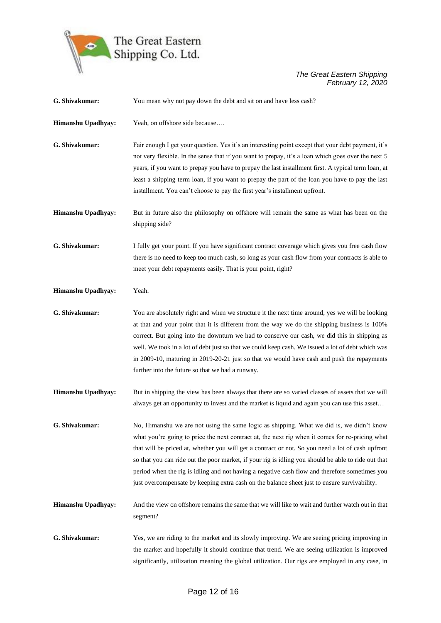

| G. Shivakumar:     | You mean why not pay down the debt and sit on and have less cash?                                                                                                                                                                                                                                                                                                                                                                                                                                                                                                                                        |
|--------------------|----------------------------------------------------------------------------------------------------------------------------------------------------------------------------------------------------------------------------------------------------------------------------------------------------------------------------------------------------------------------------------------------------------------------------------------------------------------------------------------------------------------------------------------------------------------------------------------------------------|
| Himanshu Upadhyay: | Yeah, on offshore side because                                                                                                                                                                                                                                                                                                                                                                                                                                                                                                                                                                           |
| G. Shivakumar:     | Fair enough I get your question. Yes it's an interesting point except that your debt payment, it's<br>not very flexible. In the sense that if you want to prepay, it's a loan which goes over the next 5<br>years, if you want to prepay you have to prepay the last installment first. A typical term loan, at<br>least a shipping term loan, if you want to prepay the part of the loan you have to pay the last<br>installment. You can't choose to pay the first year's installment upfront.                                                                                                         |
| Himanshu Upadhyay: | But in future also the philosophy on offshore will remain the same as what has been on the<br>shipping side?                                                                                                                                                                                                                                                                                                                                                                                                                                                                                             |
| G. Shivakumar:     | I fully get your point. If you have significant contract coverage which gives you free cash flow<br>there is no need to keep too much cash, so long as your cash flow from your contracts is able to<br>meet your debt repayments easily. That is your point, right?                                                                                                                                                                                                                                                                                                                                     |
| Himanshu Upadhyay: | Yeah.                                                                                                                                                                                                                                                                                                                                                                                                                                                                                                                                                                                                    |
| G. Shivakumar:     | You are absolutely right and when we structure it the next time around, yes we will be looking<br>at that and your point that it is different from the way we do the shipping business is 100%<br>correct. But going into the downturn we had to conserve our cash, we did this in shipping as<br>well. We took in a lot of debt just so that we could keep cash. We issued a lot of debt which was<br>in 2009-10, maturing in 2019-20-21 just so that we would have cash and push the repayments<br>further into the future so that we had a runway.                                                    |
| Himanshu Upadhyay: | But in shipping the view has been always that there are so varied classes of assets that we will<br>always get an opportunity to invest and the market is liquid and again you can use this asset                                                                                                                                                                                                                                                                                                                                                                                                        |
| G. Shivakumar:     | No, Himanshu we are not using the same logic as shipping. What we did is, we didn't know<br>what you're going to price the next contract at, the next rig when it comes for re-pricing what<br>that will be priced at, whether you will get a contract or not. So you need a lot of cash upfront<br>so that you can ride out the poor market, if your rig is idling you should be able to ride out that<br>period when the rig is idling and not having a negative cash flow and therefore sometimes you<br>just overcompensate by keeping extra cash on the balance sheet just to ensure survivability. |
| Himanshu Upadhyay: | And the view on offshore remains the same that we will like to wait and further watch out in that<br>segment?                                                                                                                                                                                                                                                                                                                                                                                                                                                                                            |
| G. Shivakumar:     | Yes, we are riding to the market and its slowly improving. We are seeing pricing improving in<br>the market and hopefully it should continue that trend. We are seeing utilization is improved<br>significantly, utilization meaning the global utilization. Our rigs are employed in any case, in                                                                                                                                                                                                                                                                                                       |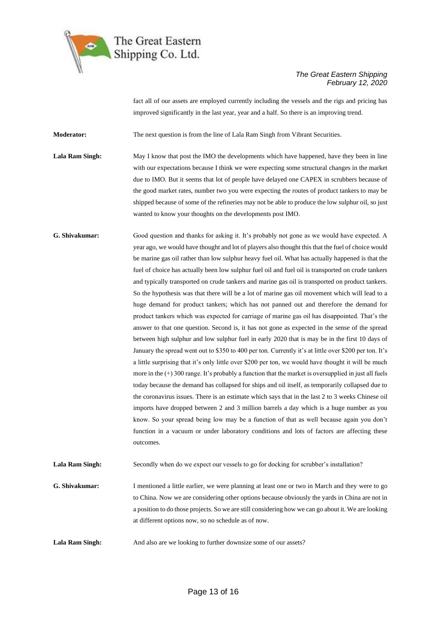

fact all of our assets are employed currently including the vessels and the rigs and pricing has improved significantly in the last year, year and a half. So there is an improving trend.

**Moderator:** The next question is from the line of Lala Ram Singh from Vibrant Securities.

Lala Ram Singh: May I know that post the IMO the developments which have happened, have they been in line with our expectations because I think we were expecting some structural changes in the market due to IMO. But it seems that lot of people have delayed one CAPEX in scrubbers because of the good market rates, number two you were expecting the routes of product tankers to may be shipped because of some of the refineries may not be able to produce the low sulphur oil, so just wanted to know your thoughts on the developments post IMO.

**G. Shivakumar:** Good question and thanks for asking it. It's probably not gone as we would have expected. A year ago, we would have thought and lot of players also thought this that the fuel of choice would be marine gas oil rather than low sulphur heavy fuel oil. What has actually happened is that the fuel of choice has actually been low sulphur fuel oil and fuel oil is transported on crude tankers and typically transported on crude tankers and marine gas oil is transported on product tankers. So the hypothesis was that there will be a lot of marine gas oil movement which will lead to a huge demand for product tankers; which has not panned out and therefore the demand for product tankers which was expected for carriage of marine gas oil has disappointed. That's the answer to that one question. Second is, it has not gone as expected in the sense of the spread between high sulphur and low sulphur fuel in early 2020 that is may be in the first 10 days of January the spread went out to \$350 to 400 per ton. Currently it's at little over \$200 per ton. It's a little surprising that it's only little over \$200 per ton, we would have thought it will be much more in the  $(+)$  300 range. It's probably a function that the market is oversupplied in just all fuels today because the demand has collapsed for ships and oil itself, as temporarily collapsed due to the coronavirus issues. There is an estimate which says that in the last 2 to 3 weeks Chinese oil imports have dropped between 2 and 3 million barrels a day which is a huge number as you know. So your spread being low may be a function of that as well because again you don't function in a vacuum or under laboratory conditions and lots of factors are affecting these outcomes.

Lala Ram Singh: Secondly when do we expect our vessels to go for docking for scrubber's installation?

**G. Shivakumar:** I mentioned a little earlier, we were planning at least one or two in March and they were to go to China. Now we are considering other options because obviously the yards in China are not in a position to do those projects. So we are still considering how we can go about it. We are looking at different options now, so no schedule as of now.

**Lala Ram Singh:** And also are we looking to further downsize some of our assets?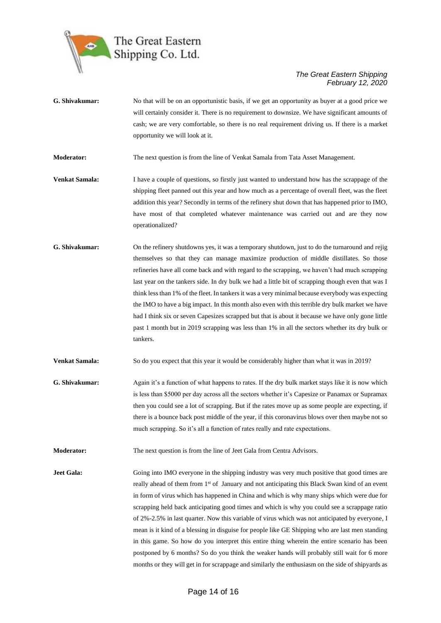

**G. Shivakumar:** No that will be on an opportunistic basis, if we get an opportunity as buyer at a good price we will certainly consider it. There is no requirement to downsize. We have significant amounts of cash; we are very comfortable, so there is no real requirement driving us. If there is a market opportunity we will look at it.

**Moderator:** The next question is from the line of Venkat Samala from Tata Asset Management.

- **Venkat Samala:** I have a couple of questions, so firstly just wanted to understand how has the scrappage of the shipping fleet panned out this year and how much as a percentage of overall fleet, was the fleet addition this year? Secondly in terms of the refinery shut down that has happened prior to IMO, have most of that completed whatever maintenance was carried out and are they now operationalized?
- **G. Shivakumar:** On the refinery shutdowns yes, it was a temporary shutdown, just to do the turnaround and rejig themselves so that they can manage maximize production of middle distillates. So those refineries have all come back and with regard to the scrapping, we haven't had much scrapping last year on the tankers side. In dry bulk we had a little bit of scrapping though even that was I think less than 1% of the fleet. In tankers it was a very minimal because everybody was expecting the IMO to have a big impact. In this month also even with this terrible dry bulk market we have had I think six or seven Capesizes scrapped but that is about it because we have only gone little past 1 month but in 2019 scrapping was less than 1% in all the sectors whether its dry bulk or tankers.
- **Venkat Samala:** So do you expect that this year it would be considerably higher than what it was in 2019?
- **G. Shivakumar:** Again it's a function of what happens to rates. If the dry bulk market stays like it is now which is less than \$5000 per day across all the sectors whether it's Capesize or Panamax or Supramax then you could see a lot of scrapping. But if the rates move up as some people are expecting, if there is a bounce back post middle of the year, if this coronavirus blows over then maybe not so much scrapping. So it's all a function of rates really and rate expectations.
- **Moderator:** The next question is from the line of Jeet Gala from Centra Advisors.
- **Jeet Gala:** Going into IMO everyone in the shipping industry was very much positive that good times are really ahead of them from 1<sup>st</sup> of January and not anticipating this Black Swan kind of an event in form of virus which has happened in China and which is why many ships which were due for scrapping held back anticipating good times and which is why you could see a scrappage ratio of 2%-2.5% in last quarter. Now this variable of virus which was not anticipated by everyone, I mean is it kind of a blessing in disguise for people like GE Shipping who are last men standing in this game. So how do you interpret this entire thing wherein the entire scenario has been postponed by 6 months? So do you think the weaker hands will probably still wait for 6 more months or they will get in for scrappage and similarly the enthusiasm on the side of shipyards as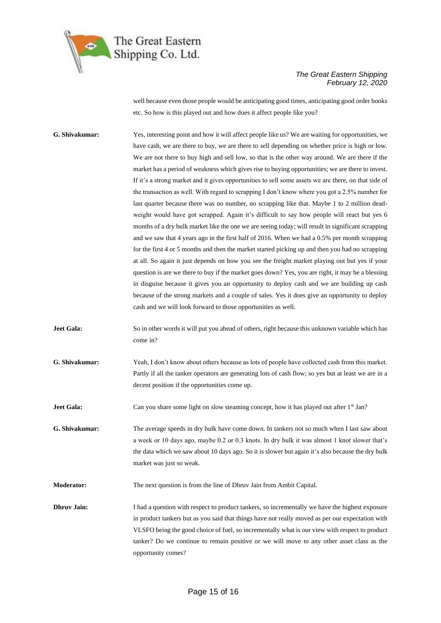

well because even those people would be anticipating good times, anticipating good order books etc. So how is this played out and how does it affect people like you?

**G. Shivakumar:** Yes, interesting point and how it will affect people like us? We are waiting for opportunities, we have cash, we are there to buy, we are there to sell depending on whether price is high or low. We are not there to buy high and sell low, so that is the other way around. We are there if the market has a period of weakness which gives rise to buying opportunities; we are there to invest. If it's a strong market and it gives opportunities to sell some assets we are there, on that side of the transaction as well. With regard to scrapping I don't know where you got a 2.5% number for last quarter because there was no number, no scrapping like that. Maybe 1 to 2 million deadweight would have got scrapped. Again it's difficult to say how people will react but yes 6 months of a dry bulk market like the one we are seeing today; will result in significant scrapping and we saw that 4 years ago in the first half of 2016. When we had a 0.5% per month scrapping for the first 4 or 5 months and then the market started picking up and then you had no scrapping at all. So again it just depends on how you see the freight market playing out but yes if your question is are we there to buy if the market goes down? Yes, you are right, it may be a blessing in disguise because it gives you an opportunity to deploy cash and we are building up cash because of the strong markets and a couple of sales. Yes it does give an opportunity to deploy cash and we will look forward to those opportunities as well.

**Jeet Gala:** So in other words it will put you ahead of others, right because this unknown variable which has come in?

**G. Shivakumar:** Yeah, I don't know about others because as lots of people have collected cash from this market. Partly if all the tanker operators are generating lots of cash flow; so yes but at least we are in a decent position if the opportunities come up.

**Jeet Gala:** Can you share some light on slow steaming concept, how it has played out after 1<sup>st</sup> Jan?

**G. Shivakumar:** The average speeds in dry bulk have come down. In tankers not so much when I last saw about a week or 10 days ago, maybe 0.2 or 0.3 knots. In dry bulk it was almost 1 knot slower that's the data which we saw about 10 days ago. So it is slower but again it's also because the dry bulk market was just so weak.

**Moderator:** The next question is from the line of Dhruv Jain from Ambit Capital.

**Dhruv Jain:** I had a question with respect to product tankers, so incrementally we have the highest exposure in product tankers but as you said that things have not really moved as per our expectation with VLSFO being the good choice of fuel, so incrementally what is our view with respect to product tanker? Do we continue to remain positive or we will move to any other asset class as the opportunity comes?